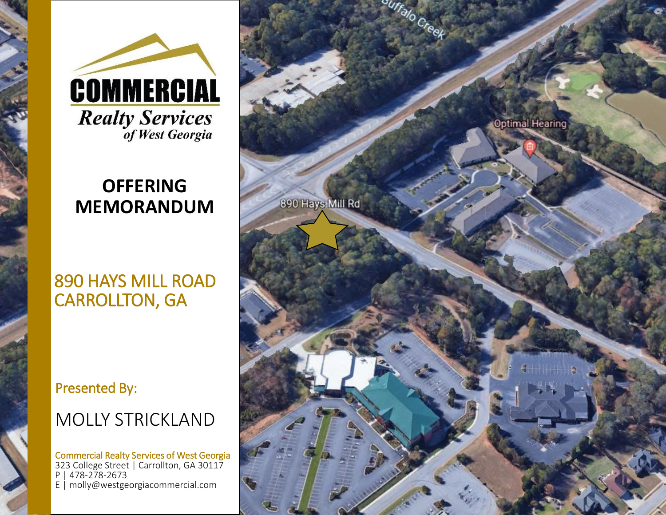

### **OFFERING MEMORANDUM**

#### 890 HAYS MILL ROAD CARROLLTON, GA

#### Presented By:

### MOLLY STRICKLAND

Commercial Realty Services of West Georgia 323 College Street | Carrollton, GA 30117 P | 478-278-2673 E | molly@westgeorgiacommercial.com

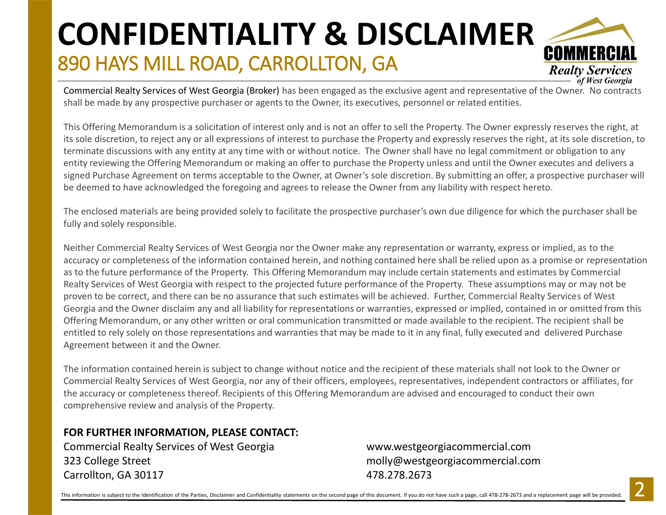## 890 HAYS MILL ROAD, CARROLLTON, GA **CONFIDENTIALITY & DISCLAIMER**



Commercial Realty Services of West Georgia (Broker) has been engaged as the exclusive agent and representative of the Owner. No contracts shall be made by any prospective purchaser or agents to the Owner, its executives, personnel or related entities.

This Offering Memorandum is a solicitation of interest only and is not an offer to sell the Property. The Owner expressly reserves the right, at its sole discretion, to reject any or all expressions of interest to purchase the Property and expressly reserves the right, at its sole discretion, to terminate discussions with any entity at any time with or without notice. The Owner shall have no legal commitment or obligation to any entity reviewing the Offering Memorandum or making an offer to purchase the Property unless and until the Owner executes and delivers a signed Purchase Agreement on terms acceptable to the Owner, at Owner's sole discretion. By submitting an offer, a prospective purchaser will be deemed to have acknowledged the foregoing and agrees to release the Owner from any liability with respect hereto.

The enclosed materials are being provided solely to facilitate the prospective purchaser's own due diligence for which the purchaser shall be fully and solely responsible.

Neither Commercial Realty Services of West Georgia nor the Owner make any representation or warranty, express or implied, as to the accuracy or completeness of the information contained herein, and nothing contained here shall be relied upon as a promise or representation as to the future performance of the Property. This Offering Memorandum may include certain statements and estimates by Commercial Realty Services of West Georgia with respect to the projected future performance of the Property. These assumptions may or may not be proven to be correct, and there can be no assurance that such estimates will be achieved. Further, Commercial Realty Services of West Georgia and the Owner disclaim any and all liability for representations or warranties, expressed or implied, contained in or omitted from this Offering Memorandum, or any other written or oral communication transmitted or made available to the recipient. The recipient shall be entitled to rely solely on those representations and warranties that may be made to it in any final, fully executed and delivered Purchase Agreement between it and the Owner.

The information contained herein is subject to change without notice and the recipient of these materials shall not look to the Owner or Commercial Realty Services of West Georgia, nor any of their officers, employees, representatives, independent contractors or affiliates, for the accuracy or completeness thereof. Recipients of this Offering Memorandum are advised and encouraged to conduct their own comprehensive review and analysis of the Property.

#### **FOR FURTHER INFORMATION, PLEASE CONTACT:**

Commercial Realty Services of West Georgia www.westgeorgiacommercial.com 323 College Street molly@westgeorgiacommercial.com Carrollton, GA 30117 478.278.2673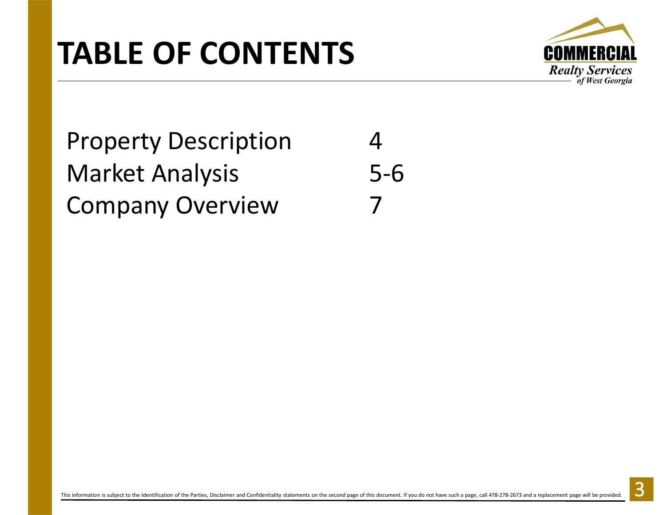# **TABLE OF CONTENTS**



## Property Description 4 Market Analysis 5-6 **Company Overview**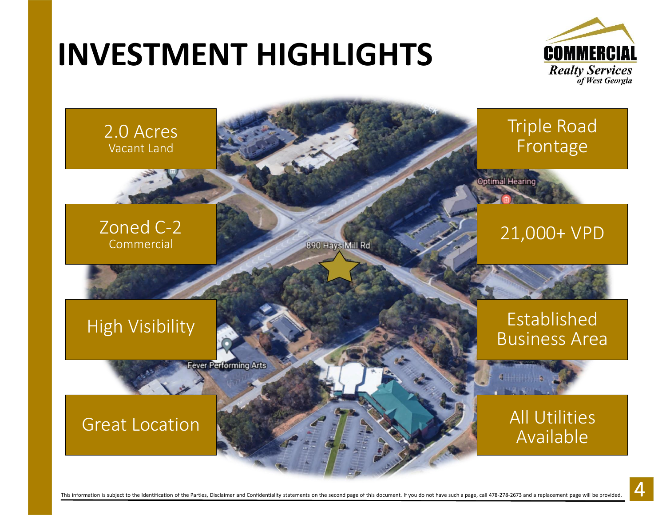# **INVESTMENT HIGHLIGHTS**



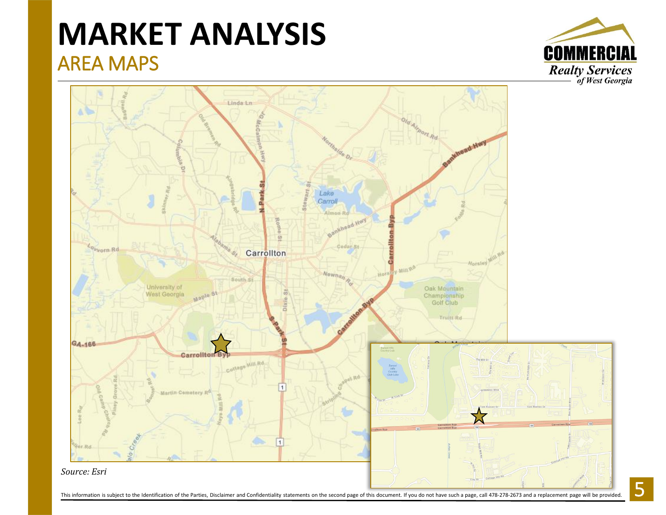### AREA MAPS **MARKET ANALYSIS**



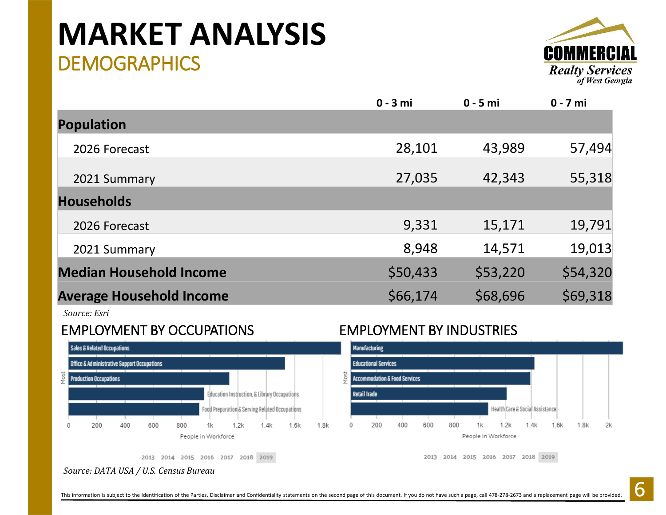### **DEMOGRAPHICS MARKET ANALYSIS**



|                                 | $0 - 3$ mi | $0 - 5$ mi | $0 - 7$ mi |
|---------------------------------|------------|------------|------------|
| <b>Population</b>               |            |            |            |
| 2026 Forecast                   | 28,101     | 43,989     | 57,494     |
| 2021 Summary                    | 27,035     | 42,343     | 55,318     |
| <b>Households</b>               |            |            |            |
| 2026 Forecast                   | 9,331      | 15,171     | 19,791     |
| 2021 Summary                    | 8,948      | 14,571     | 19,013     |
| <b>Median Household Income</b>  | \$50,433   | \$53,220   | \$54,320   |
| <b>Average Household Income</b> | \$66,174   | \$68,696   | \$69,318   |

*Source: Esri*

#### EMPLOYMENT BY OCCUPATIONS EMPLOYMENT BY INDUSTRIES